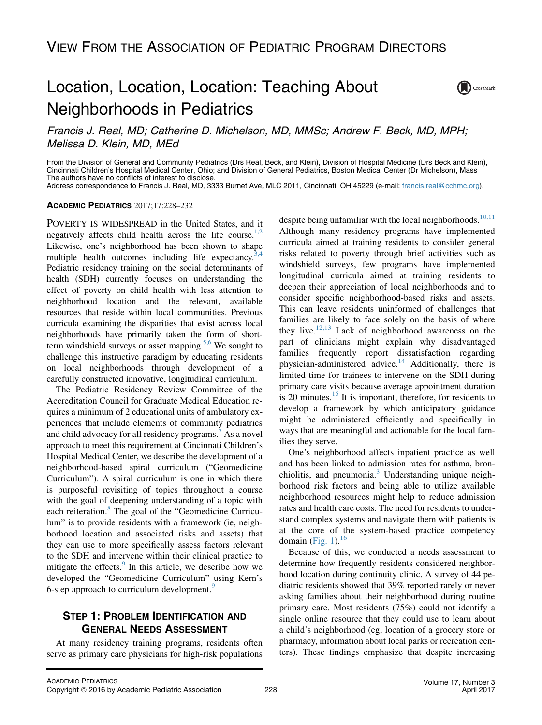# Location, Location, Location: Teaching About Neighborhoods in Pediatrics



Francis J. Real, MD; Catherine D. Michelson, MD, MMSc; Andrew F. Beck, MD, MPH; Melissa D. Klein, MD, MEd

From the Division of General and Community Pediatrics (Drs Real, Beck, and Klein), Division of Hospital Medicine (Drs Beck and Klein), Cincinnati Children's Hospital Medical Center, Ohio; and Division of General Pediatrics, Boston Medical Center (Dr Michelson), Mass The authors have no conflicts of interest to disclose. Address correspondence to Francis J. Real, MD, 3333 Burnet Ave, MLC 2011, Cincinnati, OH 45229 (e-mail: [francis.real@cchmc.org\)](mailto:francis.real@cchmc.org).

ACADEMIC PEDIATRICS 2017;17:228–232

POVERTY IS WIDESPREAD in the United States, and it negatively affects child health across the life course.<sup>1,2</sup> Likewise, one's neighborhood has been shown to shape multiple health outcomes including life expectancy.<sup>3,4</sup> Pediatric residency training on the social determinants of health (SDH) currently focuses on understanding the effect of poverty on child health with less attention to neighborhood location and the relevant, available resources that reside within local communities. Previous curricula examining the disparities that exist across local neighborhoods have primarily taken the form of shortterm windshield surveys or asset mapping.<sup>5,6</sup> We sought to challenge this instructive paradigm by educating residents on local neighborhoods through development of a carefully constructed innovative, longitudinal curriculum.

The Pediatric Residency Review Committee of the Accreditation Council for Graduate Medical Education requires a minimum of 2 educational units of ambulatory experiences that include elements of community pediatrics and child advocacy for all residency programs.<sup>[7](#page-3-0)</sup> As a novel approach to meet this requirement at Cincinnati Children's Hospital Medical Center, we describe the development of a neighborhood-based spiral curriculum ("Geomedicine Curriculum"). A spiral curriculum is one in which there is purposeful revisiting of topics throughout a course with the goal of deepening understanding of a topic with each reiteration.<sup>[8](#page-3-0)</sup> The goal of the "Geomedicine Curriculum" is to provide residents with a framework (ie, neighborhood location and associated risks and assets) that they can use to more specifically assess factors relevant to the SDH and intervene within their clinical practice to mitigate the effects.<sup>[9](#page-3-0)</sup> In this article, we describe how we developed the "Geomedicine Curriculum" using Kern's 6-step approach to curriculum development.<sup>[9](#page-3-0)</sup>

## **STEP 1: PROBLEM IDENTIFICATION AND GENERAL NEEDS ASSESSMENT**

At many residency training programs, residents often serve as primary care physicians for high-risk populations

despite being unfamiliar with the local neighborhoods.<sup>[10,11](#page-3-0)</sup> Although many residency programs have implemented curricula aimed at training residents to consider general risks related to poverty through brief activities such as windshield surveys, few programs have implemented longitudinal curricula aimed at training residents to deepen their appreciation of local neighborhoods and to consider specific neighborhood-based risks and assets. This can leave residents uninformed of challenges that families are likely to face solely on the basis of where they live.<sup>[12,13](#page-3-0)</sup> Lack of neighborhood awareness on the part of clinicians might explain why disadvantaged families frequently report dissatisfaction regarding physician-administered advice.[14](#page-3-0) Additionally, there is limited time for trainees to intervene on the SDH during primary care visits because average appointment duration is 20 minutes.<sup>[15](#page-4-0)</sup> It is important, therefore, for residents to develop a framework by which anticipatory guidance might be administered efficiently and specifically in ways that are meaningful and actionable for the local families they serve.

One's neighborhood affects inpatient practice as well and has been linked to admission rates for asthma, bronchiolitis, and pneumonia. $3 \overline{}$  $3 \overline{}$  Understanding unique neighborhood risk factors and being able to utilize available neighborhood resources might help to reduce admission rates and health care costs. The need for residents to understand complex systems and navigate them with patients is at the core of the system-based practice competency domain (Fig.  $1$ ).<sup>16</sup>

Because of this, we conducted a needs assessment to determine how frequently residents considered neighborhood location during continuity clinic. A survey of 44 pediatric residents showed that 39% reported rarely or never asking families about their neighborhood during routine primary care. Most residents (75%) could not identify a single online resource that they could use to learn about a child's neighborhood (eg, location of a grocery store or pharmacy, information about local parks or recreation centers). These findings emphasize that despite increasing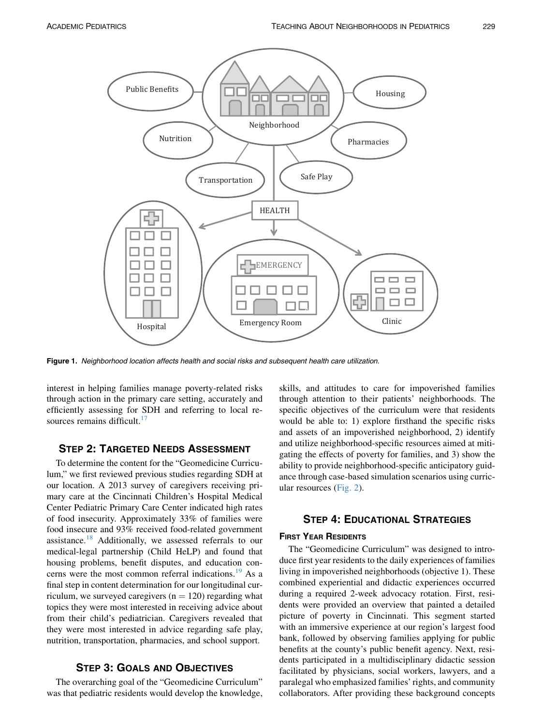<span id="page-1-0"></span>

Figure 1. Neighborhood location affects health and social risks and subsequent health care utilization.

interest in helping families manage poverty-related risks through action in the primary care setting, accurately and efficiently assessing for SDH and referring to local resources remains difficult. $17$ 

To determine the content for the "Geomedicine Curriculum," we first reviewed previous studies regarding SDH at our location. A 2013 survey of caregivers receiving primary care at the Cincinnati Children's Hospital Medical Center Pediatric Primary Care Center indicated high rates of food insecurity. Approximately 33% of families were food insecure and 93% received food-related government assistance.<sup>[18](#page-4-0)</sup> Additionally, we assessed referrals to our medical-legal partnership (Child HeLP) and found that housing problems, benefit disputes, and education con-cerns were the most common referral indications.<sup>[19](#page-4-0)</sup> As a final step in content determination for our longitudinal curriculum, we surveyed caregivers  $(n = 120)$  regarding what topics they were most interested in receiving advice about from their child's pediatrician. Caregivers revealed that they were most interested in advice regarding safe play, nutrition, transportation, pharmacies, and school support.

### **STEP 3: GOALS AND OBJECTIVES**

The overarching goal of the "Geomedicine Curriculum" was that pediatric residents would develop the knowledge, skills, and attitudes to care for impoverished families through attention to their patients' neighborhoods. The specific objectives of the curriculum were that residents would be able to: 1) explore firsthand the specific risks and assets of an impoverished neighborhood, 2) identify and utilize neighborhood-specific resources aimed at mitigating the effects of poverty for families, and 3) show the ability to provide neighborhood-specific anticipatory guidance through case-based simulation scenarios using curricular resources ([Fig. 2](#page-2-0)).

### **STEP 4: EDUCATIONAL STRATEGIES** STEP 4: EDUCATIONAL STRATEGIES 4: EDUCATIONAL STRATEGIES 4: EDUCATIONAL STRATEGIES 4: EDUCATIONAL STRATEGIES 4:<br>STRATEGIES 4: EDUCATIONAL STRATEGIES 4: EDUCATIONAL STRATEGIES 4: EDUCATIONAL STRATEGIES 4: EDUCATIONAL STRATE

The "Geomedicine Curriculum" was designed to introduce first year residents to the daily experiences of families living in impoverished neighborhoods (objective 1). These combined experiential and didactic experiences occurred during a required 2-week advocacy rotation. First, residents were provided an overview that painted a detailed picture of poverty in Cincinnati. This segment started with an immersive experience at our region's largest food bank, followed by observing families applying for public benefits at the county's public benefit agency. Next, residents participated in a multidisciplinary didactic session facilitated by physicians, social workers, lawyers, and a paralegal who emphasized families' rights, and community collaborators. After providing these background concepts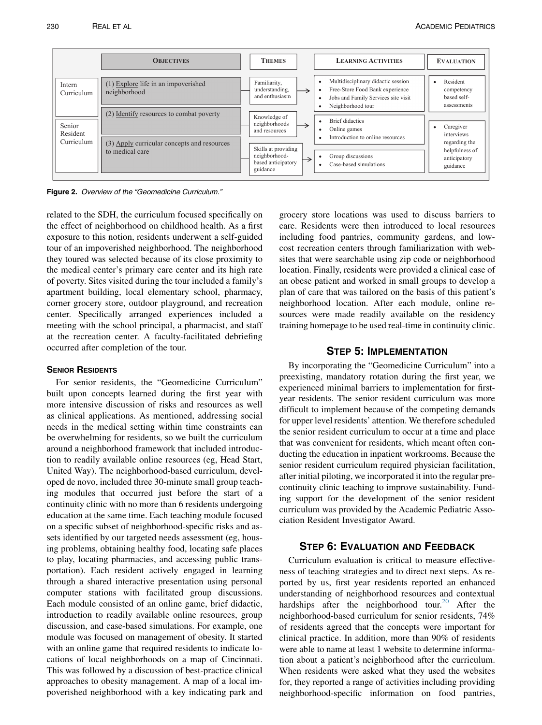<span id="page-2-0"></span>

Figure 2. Overview of the "Geomedicine Curriculum."

related to the SDH, the curriculum focused specifically on the effect of neighborhood on childhood health. As a first exposure to this notion, residents underwent a self-guided tour of an impoverished neighborhood. The neighborhood they toured was selected because of its close proximity to the medical center's primary care center and its high rate of poverty. Sites visited during the tour included a family's apartment building, local elementary school, pharmacy, corner grocery store, outdoor playground, and recreation center. Specifically arranged experiences included a meeting with the school principal, a pharmacist, and staff at the recreation center. A faculty-facilitated debriefing occurred after completion of the tour.

For senior residents, the "Geomedicine Curriculum" built upon concepts learned during the first year with more intensive discussion of risks and resources as well as clinical applications. As mentioned, addressing social needs in the medical setting within time constraints can be overwhelming for residents, so we built the curriculum around a neighborhood framework that included introduction to readily available online resources (eg, Head Start, United Way). The neighborhood-based curriculum, developed de novo, included three 30-minute small group teaching modules that occurred just before the start of a continuity clinic with no more than 6 residents undergoing education at the same time. Each teaching module focused on a specific subset of neighborhood-specific risks and assets identified by our targeted needs assessment (eg, housing problems, obtaining healthy food, locating safe places to play, locating pharmacies, and accessing public transportation). Each resident actively engaged in learning through a shared interactive presentation using personal computer stations with facilitated group discussions. Each module consisted of an online game, brief didactic, introduction to readily available online resources, group discussion, and case-based simulations. For example, one module was focused on management of obesity. It started with an online game that required residents to indicate locations of local neighborhoods on a map of Cincinnati. This was followed by a discussion of best-practice clinical approaches to obesity management. A map of a local impoverished neighborhood with a key indicating park and

grocery store locations was used to discuss barriers to care. Residents were then introduced to local resources including food pantries, community gardens, and lowcost recreation centers through familiarization with websites that were searchable using zip code or neighborhood location. Finally, residents were provided a clinical case of an obese patient and worked in small groups to develop a plan of care that was tailored on the basis of this patient's neighborhood location. After each module, online resources were made readily available on the residency training homepage to be used real-time in continuity clinic.

### **STEP 5: IMPLEMENTATION**

By incorporating the "Geomedicine Curriculum" into a preexisting, mandatory rotation during the first year, we experienced minimal barriers to implementation for firstyear residents. The senior resident curriculum was more difficult to implement because of the competing demands for upper level residents' attention. We therefore scheduled the senior resident curriculum to occur at a time and place that was convenient for residents, which meant often conducting the education in inpatient workrooms. Because the senior resident curriculum required physician facilitation, after initial piloting, we incorporated it into the regular precontinuity clinic teaching to improve sustainability. Funding support for the development of the senior resident curriculum was provided by the Academic Pediatric Association Resident Investigator Award.

### **STEP 6: EVALUATION AND FEEDBACK**

Curriculum evaluation is critical to measure effectiveness of teaching strategies and to direct next steps. As reported by us, first year residents reported an enhanced understanding of neighborhood resources and contextual hardships after the neighborhood tour.<sup>[20](#page-4-0)</sup> After the neighborhood-based curriculum for senior residents, 74% of residents agreed that the concepts were important for clinical practice. In addition, more than 90% of residents were able to name at least 1 website to determine information about a patient's neighborhood after the curriculum. When residents were asked what they used the websites for, they reported a range of activities including providing neighborhood-specific information on food pantries,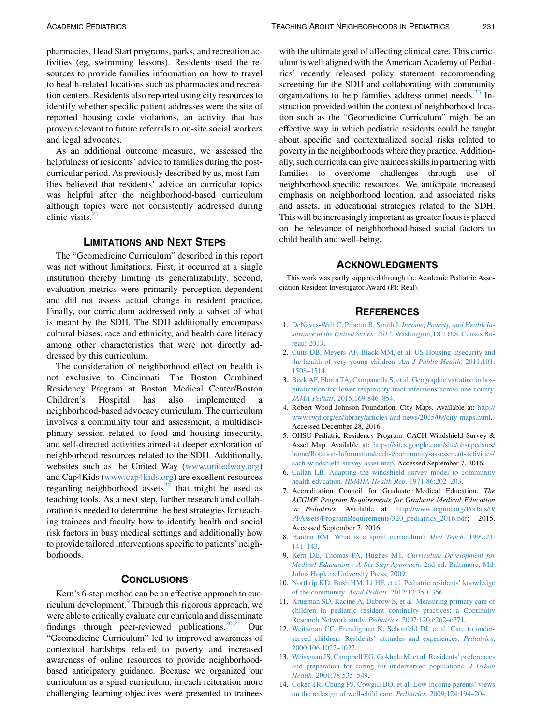<span id="page-3-0"></span>pharmacies, Head Start programs, parks, and recreation activities (eg, swimming lessons). Residents used the resources to provide families information on how to travel to health-related locations such as pharmacies and recreation centers. Residents also reported using city resources to identify whether specific patient addresses were the site of reported housing code violations, an activity that has proven relevant to future referrals to on-site social workers and legal advocates.

As an additional outcome measure, we assessed the helpfulness of residents' advice to families during the postcurricular period. As previously described by us, most families believed that residents' advice on curricular topics was helpful after the neighborhood-based curriculum although topics were not consistently addressed during clinic visits. $21$ 

LIMITATIONS AND NEXT STEPS The "Geomedicine Curriculum" described in this report was not without limitations. First, it occurred at a single institution thereby limiting its generalizability. Second, evaluation metrics were primarily perception-dependent and did not assess actual change in resident practice. Finally, our curriculum addressed only a subset of what is meant by the SDH. The SDH additionally encompass cultural biases, race and ethnicity, and health care literacy among other characteristics that were not directly addressed by this curriculum.

The consideration of neighborhood effect on health is not exclusive to Cincinnati. The Boston Combined Residency Program at Boston Medical Center/Boston Children's Hospital has also implemented neighborhood-based advocacy curriculum. The curriculum involves a community tour and assessment, a multidisciplinary session related to food and housing insecurity, and self-directed activities aimed at deeper exploration of neighborhood resources related to the SDH. Additionally, websites such as the United Way [\(www.unitedway.org](http://www.unitedway.org)) and Cap4Kids ([www.cap4kids.org](http://www.cap4kids.org)) are excellent resources regarding neighborhood assets<sup>[22](#page-4-0)</sup> that might be used as teaching tools. As a next step, further research and collaboration is needed to determine the best strategies for teaching trainees and faculty how to identify health and social risk factors in busy medical settings and additionally how to provide tailored interventions specific to patients' neighborhoods.

Kern's 6-step method can be an effective approach to curriculum development.<sup>9</sup> Through this rigorous approach, we were able to critically evaluate our curricula and disseminate findings through peer-reviewed publications. $20,21$  Our "Geomedicine Curriculum" led to improved awareness of contextual hardships related to poverty and increased awareness of online resources to provide neighborhoodbased anticipatory guidance. Because we organized our curriculum as a spiral curriculum, in each reiteration more challenging learning objectives were presented to trainees

with the ultimate goal of affecting clinical care. This curriculum is well aligned with the American Academy of Pediatrics' recently released policy statement recommending screening for the SDH and collaborating with community organizations to help families address unmet needs. $^{23}$  Instruction provided within the context of neighborhood location such as the "Geomedicine Curriculum" might be an effective way in which pediatric residents could be taught about specific and contextualized social risks related to poverty in the neighborhoods where they practice. Additionally, such curricula can give trainees skills in partnering with families to overcome challenges through use of neighborhood-specific resources. We anticipate increased emphasis on neighborhood location, and associated risks and assets, in educational strategies related to the SDH. This will be increasingly important as greater focus is placed on the relevance of neighborhood-based social factors to child health and well-being.

This work was partly supported through the Academic Pediatric Association Resident Investigator Award (PI: Real).

### **REFERENCES**

- 1. [DeNavas-Walt C, Proctor B, Smith J.](http://refhub.elsevier.com/S1876-2859(16)30537-X/sref1) Income, Poverty, and Health Insurance in the United States: 2012[. Washington, DC: U.S. Census Bu](http://refhub.elsevier.com/S1876-2859(16)30537-X/sref1)[reau; 2013](http://refhub.elsevier.com/S1876-2859(16)30537-X/sref1).
- 2. [Cutts DB, Meyers AF, Black MM, et al. US Housing insecurity and](http://refhub.elsevier.com/S1876-2859(16)30537-X/sref2) [the health of very young children.](http://refhub.elsevier.com/S1876-2859(16)30537-X/sref2) Am J Public Health. 2011;101: [1508–1514.](http://refhub.elsevier.com/S1876-2859(16)30537-X/sref2)
- 3. [Beck AF, Florin TA, Campanella S, et al. Geographic variation in hos](http://refhub.elsevier.com/S1876-2859(16)30537-X/sref3)[pitalization for lower respiratory tract infections across one county.](http://refhub.elsevier.com/S1876-2859(16)30537-X/sref3) JAMA Pediatr[. 2015;169:846–854](http://refhub.elsevier.com/S1876-2859(16)30537-X/sref3).
- 4. Robert Wood Johnson Foundation. City Maps. Available at: [http://](http://www.rwjf.org/en/library/articles-and-news/2015/09/city-maps.html) [www.rwjf.org/en/library/articles-and-news/2015/09/city-maps.html.](http://www.rwjf.org/en/library/articles-and-news/2015/09/city-maps.html) Accessed December 28, 2016.
- 5. OHSU Pediatric Residency Program. CACH Windshield Survey & Asset Map. Available at: [https://sites.google.com/site/ohsupedsres/](https://sites.google.com/site/ohsupedsres/home/Rotation-Information/cach-i/community-assessment-activities/cach-windshield-survey-asset-map) [home/Rotation-Information/cach-i/community-assessment-activities/](https://sites.google.com/site/ohsupedsres/home/Rotation-Information/cach-i/community-assessment-activities/cach-windshield-survey-asset-map) [cach-windshield-survey-asset-map.](https://sites.google.com/site/ohsupedsres/home/Rotation-Information/cach-i/community-assessment-activities/cach-windshield-survey-asset-map) Accessed September 7, 2016.
- 6. [Callan LB. Adapting the windshield survey model to community](http://refhub.elsevier.com/S1876-2859(16)30537-X/sref6) health education. [HSMHA Health Rep](http://refhub.elsevier.com/S1876-2859(16)30537-X/sref6). 1971;86:202–203.
- 7. Accreditation Council for Graduate Medical Education. The ACGME Program Requirements for Graduate Medical Education in Pediatrics. Available at: [http://www.acgme.org/Portals/0/](http://www.acgme.org/Portals/0/PFAssets/ProgramRequirements/320_pediatrics_2016.pdf) [PFAssets/ProgramRequirements/320\\_pediatrics\\_2016.pdf](http://www.acgme.org/Portals/0/PFAssets/ProgramRequirements/320_pediatrics_2016.pdf); 2015. Accessed September 7, 2016.
- 8. [Harden RM. What is a spiral curriculum?](http://refhub.elsevier.com/S1876-2859(16)30537-X/sref8) Med Teach. 1999;21: [141–143.](http://refhub.elsevier.com/S1876-2859(16)30537-X/sref8)
- 9. [Kern DE, Thomas PA, Hughes MT.](http://refhub.elsevier.com/S1876-2859(16)30537-X/sref9) Curriculum Development for [Medical Education : A Six-Step Approach](http://refhub.elsevier.com/S1876-2859(16)30537-X/sref9). 2nd ed. Baltimore, Md: [Johns Hopkins University Press; 2009](http://refhub.elsevier.com/S1876-2859(16)30537-X/sref9).
- 10. [Northrip KD, Bush HM, Li HF, et al. Pediatric residents' knowledge](http://refhub.elsevier.com/S1876-2859(16)30537-X/sref10) of the community. Acad Pediatr[. 2012;12:350–356.](http://refhub.elsevier.com/S1876-2859(16)30537-X/sref10)
- 11. [Krugman SD, Racine A, Dabrow S, et al. Measuring primary care of](http://refhub.elsevier.com/S1876-2859(16)30537-X/sref11) [children in pediatric resident continuity practices: a Continuity](http://refhub.elsevier.com/S1876-2859(16)30537-X/sref11) [Research Network study.](http://refhub.elsevier.com/S1876-2859(16)30537-X/sref11) Pediatrics. 2007;120:e262–e271.
- 12. [Weitzman CC, Freudigman K, Schonfeld DJ, et al. Care to under](http://refhub.elsevier.com/S1876-2859(16)30537-X/sref12)[served children: Residents' attitudes and experiences.](http://refhub.elsevier.com/S1876-2859(16)30537-X/sref12) Pediatrics. [2000;106:1022–1027](http://refhub.elsevier.com/S1876-2859(16)30537-X/sref12).
- 13. [Weissman JS, Campbell EG, Gokhale M, et al. Residents' preferences](http://refhub.elsevier.com/S1876-2859(16)30537-X/sref13) [and preparation for caring for underserved populations.](http://refhub.elsevier.com/S1876-2859(16)30537-X/sref13) J Urban Health[. 2001;78:535–549](http://refhub.elsevier.com/S1876-2859(16)30537-X/sref13).
- 14. [Coker TR, Chung PJ, Cowgill BO, et al. Low-income parents' views](http://refhub.elsevier.com/S1876-2859(16)30537-X/sref14) [on the redesign of well-child care.](http://refhub.elsevier.com/S1876-2859(16)30537-X/sref14) Pediatrics. 2009;124:194–204.